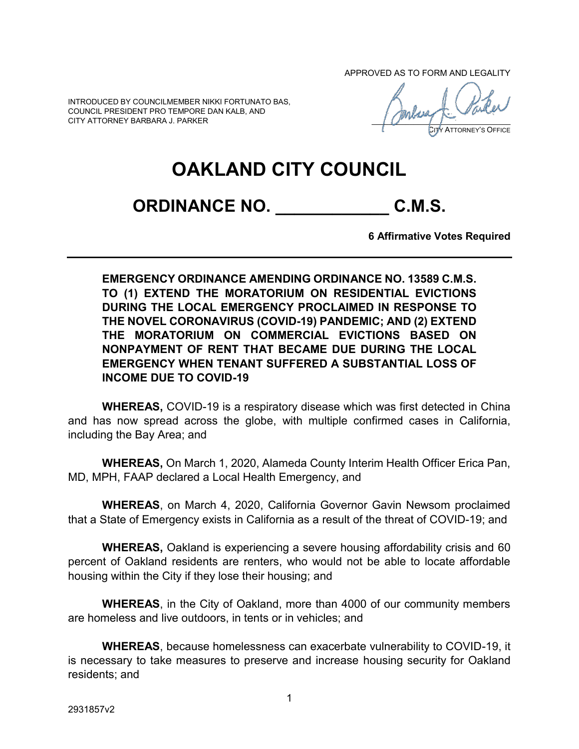APPROVED AS TO FORM AND LEGALITY

INTRODUCED BY COUNCILMEMBER NIKKI FORTUNATO BAS, COUNCIL PRESIDENT PRO TEMPORE DAN KALB, AND CITY ATTORNEY BARBARA J. PARKER

CITY ATTORNEY'S OFFICE

## **OAKLAND CITY COUNCIL**

**ORDINANCE NO. \_\_\_\_\_\_\_\_\_\_\_\_ C.M.S.**

**6 Affirmative Votes Required**

**EMERGENCY ORDINANCE AMENDING ORDINANCE NO. 13589 C.M.S. TO (1) EXTEND THE MORATORIUM ON RESIDENTIAL EVICTIONS DURING THE LOCAL EMERGENCY PROCLAIMED IN RESPONSE TO THE NOVEL CORONAVIRUS (COVID-19) PANDEMIC; AND (2) EXTEND THE MORATORIUM ON COMMERCIAL EVICTIONS BASED ON NONPAYMENT OF RENT THAT BECAME DUE DURING THE LOCAL EMERGENCY WHEN TENANT SUFFERED A SUBSTANTIAL LOSS OF INCOME DUE TO COVID-19**

**WHEREAS,** COVID-19 is a respiratory disease which was first detected in China and has now spread across the globe, with multiple confirmed cases in California, including the Bay Area; and

**WHEREAS,** On March 1, 2020, Alameda County Interim Health Officer Erica Pan, MD, MPH, FAAP declared a Local Health Emergency, and

**WHEREAS**, on March 4, 2020, California Governor Gavin Newsom proclaimed that a State of Emergency exists in California as a result of the threat of COVID-19; and

**WHEREAS,** Oakland is experiencing a severe housing affordability crisis and 60 percent of Oakland residents are renters, who would not be able to locate affordable housing within the City if they lose their housing; and

**WHEREAS**, in the City of Oakland, more than 4000 of our community members are homeless and live outdoors, in tents or in vehicles; and

**WHEREAS**, because homelessness can exacerbate vulnerability to COVID-19, it is necessary to take measures to preserve and increase housing security for Oakland residents; and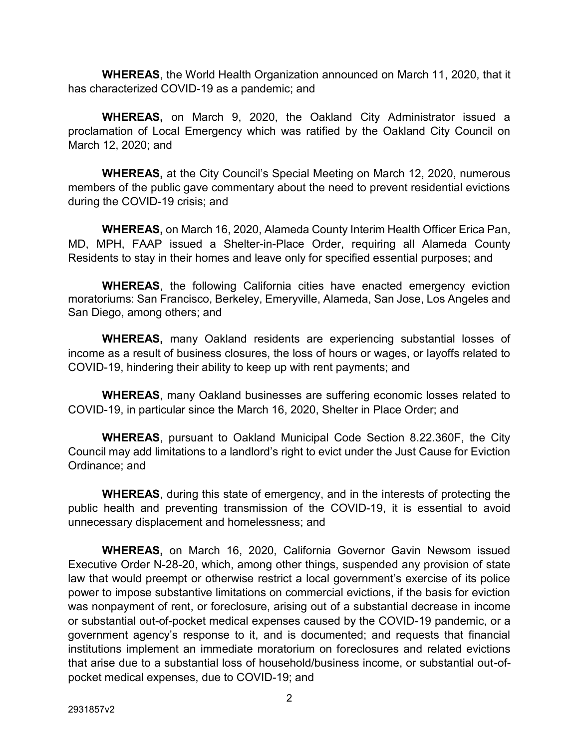**WHEREAS**, the World Health Organization [announced on March 11,](https://www.who.int/emergencies/diseases/novel-coronavirus-2019/events-as-they-happen) 2020, that it has characterized COVID-19 as a pandemic; and

**WHEREAS,** on March 9, 2020, the Oakland City Administrator issued a proclamation of Local Emergency which was ratified by the Oakland City Council on March 12, 2020; and

**WHEREAS,** at the City Council's Special Meeting on March 12, 2020, numerous members of the public gave commentary about the need to prevent residential evictions during the COVID-19 crisis; and

**WHEREAS,** on March 16, 2020, Alameda County Interim Health Officer Erica Pan, MD, MPH, FAAP issued a Shelter-in-Place Order, requiring all Alameda County Residents to stay in their homes and leave only for specified essential purposes; and

**WHEREAS**, the following California cities have enacted emergency eviction moratoriums: San Francisco, Berkeley, Emeryville, Alameda, San Jose, Los Angeles and San Diego, among others; and

**WHEREAS,** many Oakland residents are experiencing substantial losses of income as a result of business closures, the loss of hours or wages, or layoffs related to COVID-19, hindering their ability to keep up with rent payments; and

**WHEREAS**, many Oakland businesses are suffering economic losses related to COVID-19, in particular since the March 16, 2020, Shelter in Place Order; and

**WHEREAS**, pursuant to Oakland Municipal Code Section 8.22.360F, the City Council may add limitations to a landlord's right to evict under the Just Cause for Eviction Ordinance; and

**WHEREAS**, during this state of emergency, and in the interests of protecting the public health and preventing transmission of the COVID-19, it is essential to avoid unnecessary displacement and homelessness; and

**WHEREAS,** on March 16, 2020, California Governor Gavin Newsom issued Executive Order N-28-20, which, among other things, suspended any provision of state law that would preempt or otherwise restrict a local government's exercise of its police power to impose substantive limitations on commercial evictions, if the basis for eviction was nonpayment of rent, or foreclosure, arising out of a substantial decrease in income or substantial out-of-pocket medical expenses caused by the COVID-19 pandemic, or a government agency's response to it, and is documented; and requests that financial institutions implement an immediate moratorium on foreclosures and related evictions that arise due to a substantial loss of household/business income, or substantial out-ofpocket medical expenses, due to COVID-19; and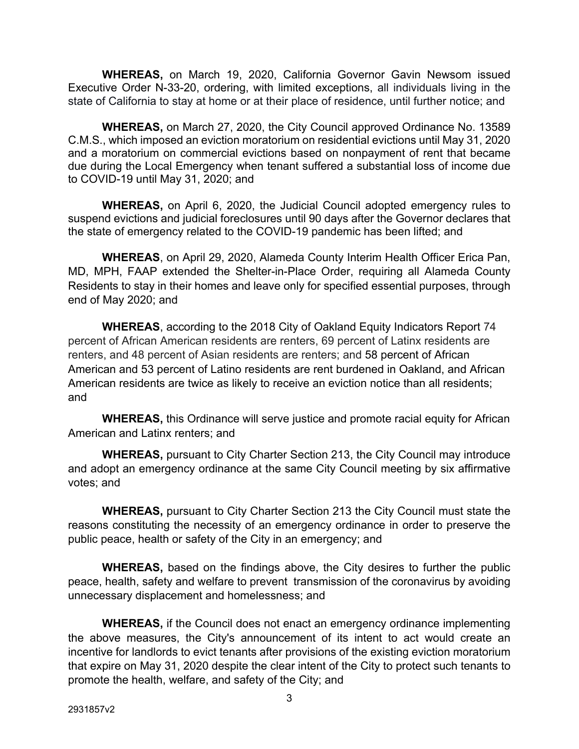**WHEREAS,** on March 19, 2020, California Governor Gavin Newsom issued Executive Order N-33-20, ordering, with limited exceptions, all individuals living in the state of California to stay at home or at their place of residence, until further notice; and

**WHEREAS,** on March 27, 2020, the City Council approved Ordinance No. 13589 C.M.S., which imposed an eviction moratorium on residential evictions until May 31, 2020 and a moratorium on commercial evictions based on nonpayment of rent that became due during the Local Emergency when tenant suffered a substantial loss of income due to COVID-19 until May 31, 2020; and

**WHEREAS,** on April 6, 2020, the Judicial Council adopted emergency rules to suspend evictions and judicial foreclosures until 90 days after the Governor declares that the state of emergency related to the COVID-19 pandemic has been lifted; and

**WHEREAS**, on April 29, 2020, Alameda County Interim Health Officer Erica Pan, MD, MPH, FAAP extended the Shelter-in-Place Order, requiring all Alameda County Residents to stay in their homes and leave only for specified essential purposes, through end of May 2020; and

**WHEREAS**, according to the 2018 City of Oakland Equity Indicators Report 74 percent of African American residents are renters, 69 percent of Latinx residents are renters, and 48 percent of Asian residents are renters; and 58 percent of African American and 53 percent of Latino residents are rent burdened in Oakland, and African American residents are twice as likely to receive an eviction notice than all residents; and

**WHEREAS,** this Ordinance will serve justice and promote racial equity for African American and Latinx renters; and

**WHEREAS,** pursuant to City Charter Section 213, the City Council may introduce and adopt an emergency ordinance at the same City Council meeting by six affirmative votes; and

**WHEREAS,** pursuant to City Charter Section 213 the City Council must state the reasons constituting the necessity of an emergency ordinance in order to preserve the public peace, health or safety of the City in an emergency; and

**WHEREAS,** based on the findings above, the City desires to further the public peace, health, safety and welfare to prevent transmission of the coronavirus by avoiding unnecessary displacement and homelessness; and

**WHEREAS,** if the Council does not enact an emergency ordinance implementing the above measures, the City's announcement of its intent to act would create an incentive for landlords to evict tenants after provisions of the existing eviction moratorium that expire on May 31, 2020 despite the clear intent of the City to protect such tenants to promote the health, welfare, and safety of the City; and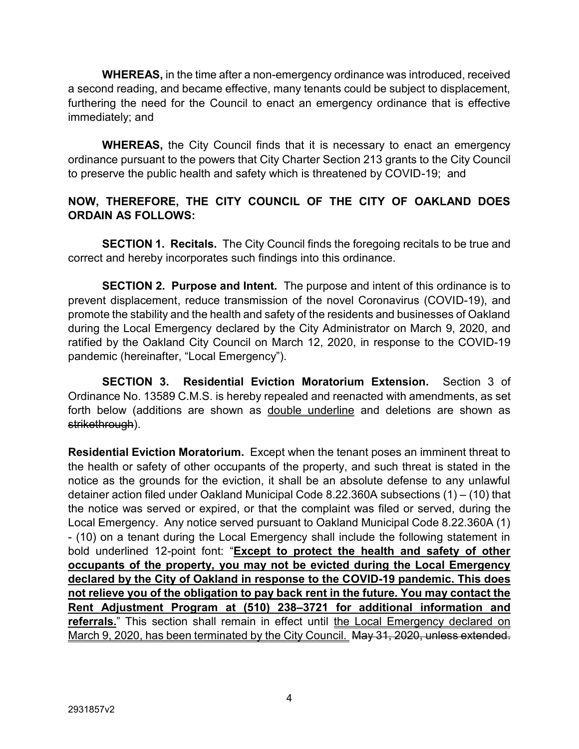**WHEREAS,** in the time after a non-emergency ordinance was introduced, received a second reading, and became effective, many tenants could be subject to displacement, furthering the need for the Council to enact an emergency ordinance that is effective immediately; and

**WHEREAS,** the City Council finds that it is necessary to enact an emergency ordinance pursuant to the powers that City Charter Section 213 grants to the City Council to preserve the public health and safety which is threatened by COVID-19; and

## **NOW, THEREFORE, THE CITY COUNCIL OF THE CITY OF OAKLAND DOES ORDAIN AS FOLLOWS:**

**SECTION 1. Recitals.** The City Council finds the foregoing recitals to be true and correct and hereby incorporates such findings into this ordinance.

**SECTION 2. Purpose and Intent.** The purpose and intent of this ordinance is to prevent displacement, reduce transmission of the novel Coronavirus (COVID-19), and promote the stability and the health and safety of the residents and businesses of Oakland during the Local Emergency declared by the City Administrator on March 9, 2020, and ratified by the Oakland City Council on March 12, 2020, in response to the COVID-19 pandemic (hereinafter, "Local Emergency").

**SECTION 3. Residential Eviction Moratorium Extension.** Section 3 of Ordinance No. 13589 C.M.S. is hereby repealed and reenacted with amendments, as set forth below (additions are shown as double underline and deletions are shown as strikethrough).

**Residential Eviction Moratorium.** Except when the tenant poses an imminent threat to the health or safety of other occupants of the property, and such threat is stated in the notice as the grounds for the eviction, it shall be an absolute defense to any unlawful detainer action filed under Oakland Municipal Code 8.22.360A subsections (1) – (10) that the notice was served or expired, or that the complaint was filed or served, during the Local Emergency. Any notice served pursuant to Oakland Municipal Code 8.22.360A (1) - (10) on a tenant during the Local Emergency shall include the following statement in bold underlined 12-point font: "**Except to protect the health and safety of other occupants of the property, you may not be evicted during the Local Emergency declared by the City of Oakland in response to the COVID-19 pandemic. This does not relieve you of the obligation to pay back rent in the future. You may contact the Rent Adjustment Program at (510) 238–3721 for additional information and**  referrals." This section shall remain in effect until the Local Emergency declared on March 9, 2020, has been terminated by the City Council. May 31, 2020, unless extended.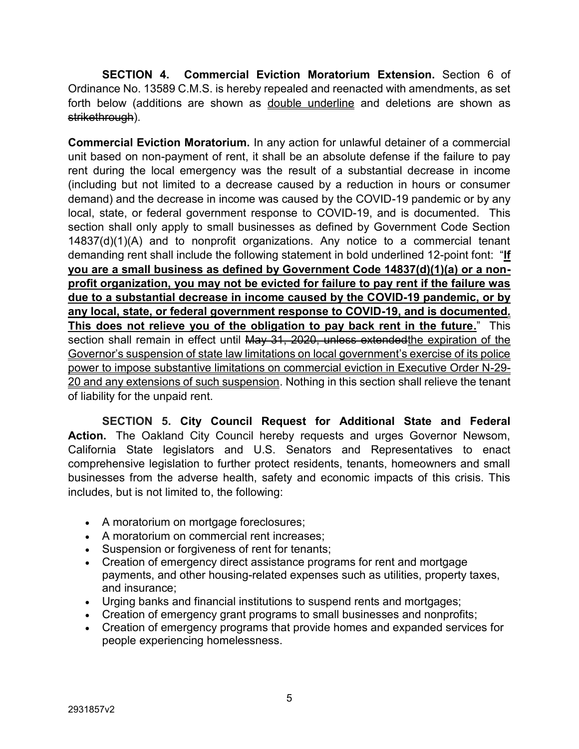**SECTION 4. Commercial Eviction Moratorium Extension.** Section 6 of Ordinance No. 13589 C.M.S. is hereby repealed and reenacted with amendments, as set forth below (additions are shown as double underline and deletions are shown as strikethrough).

**Commercial Eviction Moratorium.** In any action for unlawful detainer of a commercial unit based on non-payment of rent, it shall be an absolute defense if the failure to pay rent during the local emergency was the result of a substantial decrease in income (including but not limited to a decrease caused by a reduction in hours or consumer demand) and the decrease in income was caused by the COVID-19 pandemic or by any local, state, or federal government response to COVID-19, and is documented. This section shall only apply to small businesses as defined by Government Code Section 14837(d)(1)(A) and to nonprofit organizations. Any notice to a commercial tenant demanding rent shall include the following statement in bold underlined 12-point font: "**If you are a small business as defined by Government Code 14837(d)(1)(a) or a nonprofit organization, you may not be evicted for failure to pay rent if the failure was due to a substantial decrease in income caused by the COVID-19 pandemic, or by any local, state, or federal government response to COVID-19, and is documented***.*  **This does not relieve you of the obligation to pay back rent in the future.**" This section shall remain in effect until May 31, 2020, unless extended the expiration of the Governor's suspension of state law limitations on local government's exercise of its police power to impose substantive limitations on commercial eviction in Executive Order N-29- 20 and any extensions of such suspension. Nothing in this section shall relieve the tenant of liability for the unpaid rent.

**SECTION 5. City Council Request for Additional State and Federal Action.** The Oakland City Council hereby requests and urges Governor Newsom, California State legislators and U.S. Senators and Representatives to enact comprehensive legislation to further protect residents, tenants, homeowners and small businesses from the adverse health, safety and economic impacts of this crisis. This includes, but is not limited to, the following:

- A moratorium on mortgage foreclosures;
- A moratorium on commercial rent increases;
- Suspension or forgiveness of rent for tenants;
- Creation of emergency direct assistance programs for rent and mortgage payments, and other housing-related expenses such as utilities, property taxes, and insurance;
- Urging banks and financial institutions to suspend rents and mortgages;
- Creation of emergency grant programs to small businesses and nonprofits;
- Creation of emergency programs that provide homes and expanded services for people experiencing homelessness.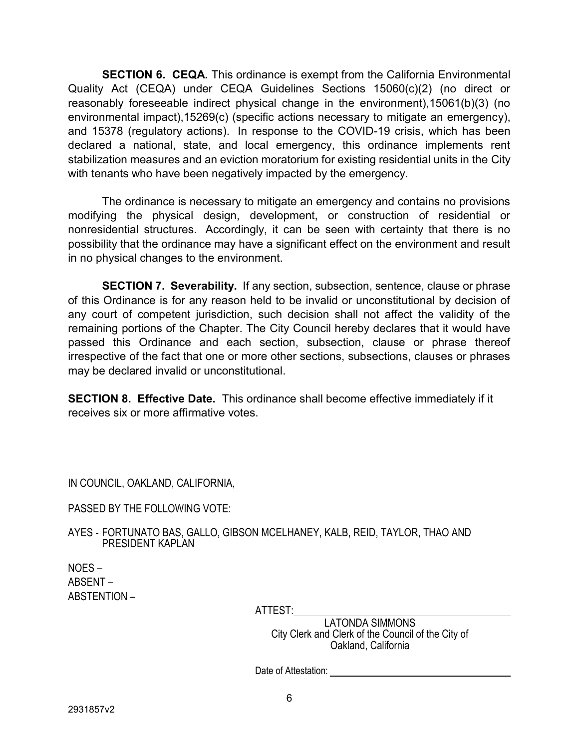**SECTION 6. CEQA.** This ordinance is exempt from the California Environmental Quality Act (CEQA) under CEQA Guidelines Sections 15060(c)(2) (no direct or reasonably foreseeable indirect physical change in the environment),15061(b)(3) (no environmental impact),15269(c) (specific actions necessary to mitigate an emergency), and 15378 (regulatory actions). In response to the COVID-19 crisis, which has been declared a national, state, and local emergency, this ordinance implements rent stabilization measures and an eviction moratorium for existing residential units in the City with tenants who have been negatively impacted by the emergency.

The ordinance is necessary to mitigate an emergency and contains no provisions modifying the physical design, development, or construction of residential or nonresidential structures. Accordingly, it can be seen with certainty that there is no possibility that the ordinance may have a significant effect on the environment and result in no physical changes to the environment.

**SECTION 7. Severability.** If any section, subsection, sentence, clause or phrase of this Ordinance is for any reason held to be invalid or unconstitutional by decision of any court of competent jurisdiction, such decision shall not affect the validity of the remaining portions of the Chapter. The City Council hereby declares that it would have passed this Ordinance and each section, subsection, clause or phrase thereof irrespective of the fact that one or more other sections, subsections, clauses or phrases may be declared invalid or unconstitutional.

**SECTION 8. Effective Date.** This ordinance shall become effective immediately if it receives six or more affirmative votes.

IN COUNCIL, OAKLAND, CALIFORNIA,

PASSED BY THE FOLLOWING VOTE:

AYES - FORTUNATO BAS, GALLO, GIBSON MCELHANEY, KALB, REID, TAYLOR, THAO AND PRESIDENT KAPLAN

NOES – ABSENT – ABSTENTION –

ATTEST:

LATONDA SIMMONS City Clerk and Clerk of the Council of the City of Oakland, California

Date of Attestation: